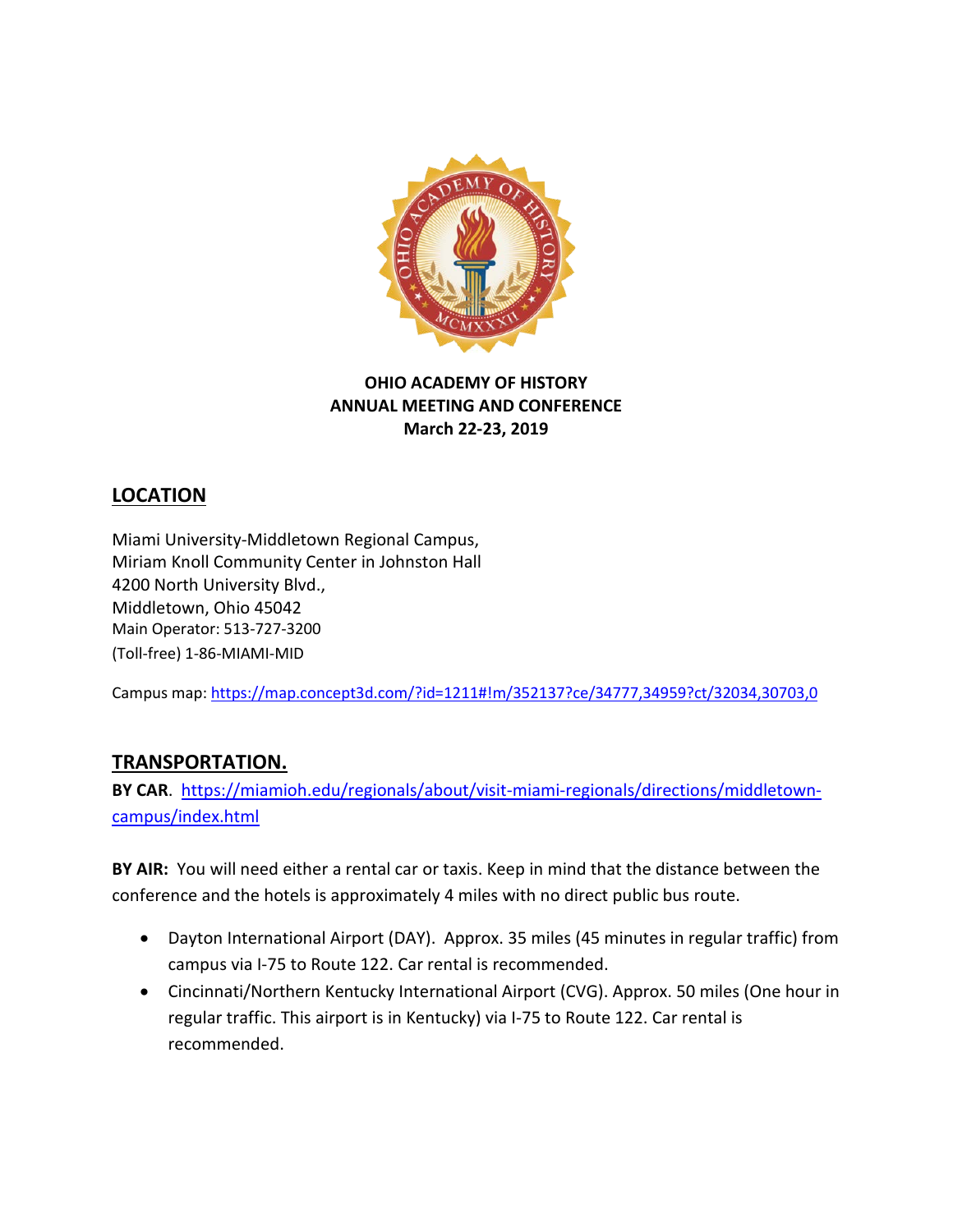

## **OHIO ACADEMY OF HISTORY ANNUAL MEETING AND CONFERENCE March 22-23, 2019**

# **LOCATION**

Miami University-Middletown Regional Campus, Miriam Knoll Community Center in Johnston Hall 4200 North University Blvd., Middletown, Ohio 45042 Main Operator: 513-727-3200 (Toll-free) 1-86-MIAMI-MI[D](tel:513-217-8862)

Campus map[: https://map.concept3d.com/?id=1211#!m/352137?ce/34777,34959?ct/32034,30703,0](https://map.concept3d.com/?id=1211#!m/352137?ce/34777,34959?ct/32034,30703,0)

# **TRANSPORTATION.**

**BY CAR**. [https://miamioh.edu/regionals/about/visit-miami-regionals/directions/middletown](https://miamioh.edu/regionals/about/visit-miami-regionals/directions/middletown-campus/index.html)[campus/index.html](https://miamioh.edu/regionals/about/visit-miami-regionals/directions/middletown-campus/index.html)

**BY AIR:** You will need either a rental car or taxis. Keep in mind that the distance between the conference and the hotels is approximately 4 miles with no direct public bus route.

- Dayton International Airport (DAY). Approx. 35 miles (45 minutes in regular traffic) from campus via I-75 to Route 122. Car rental is recommended.
- Cincinnati/Northern Kentucky International Airport (CVG). Approx. 50 miles (One hour in regular traffic. This airport is in Kentucky) via I-75 to Route 122. Car rental is recommended.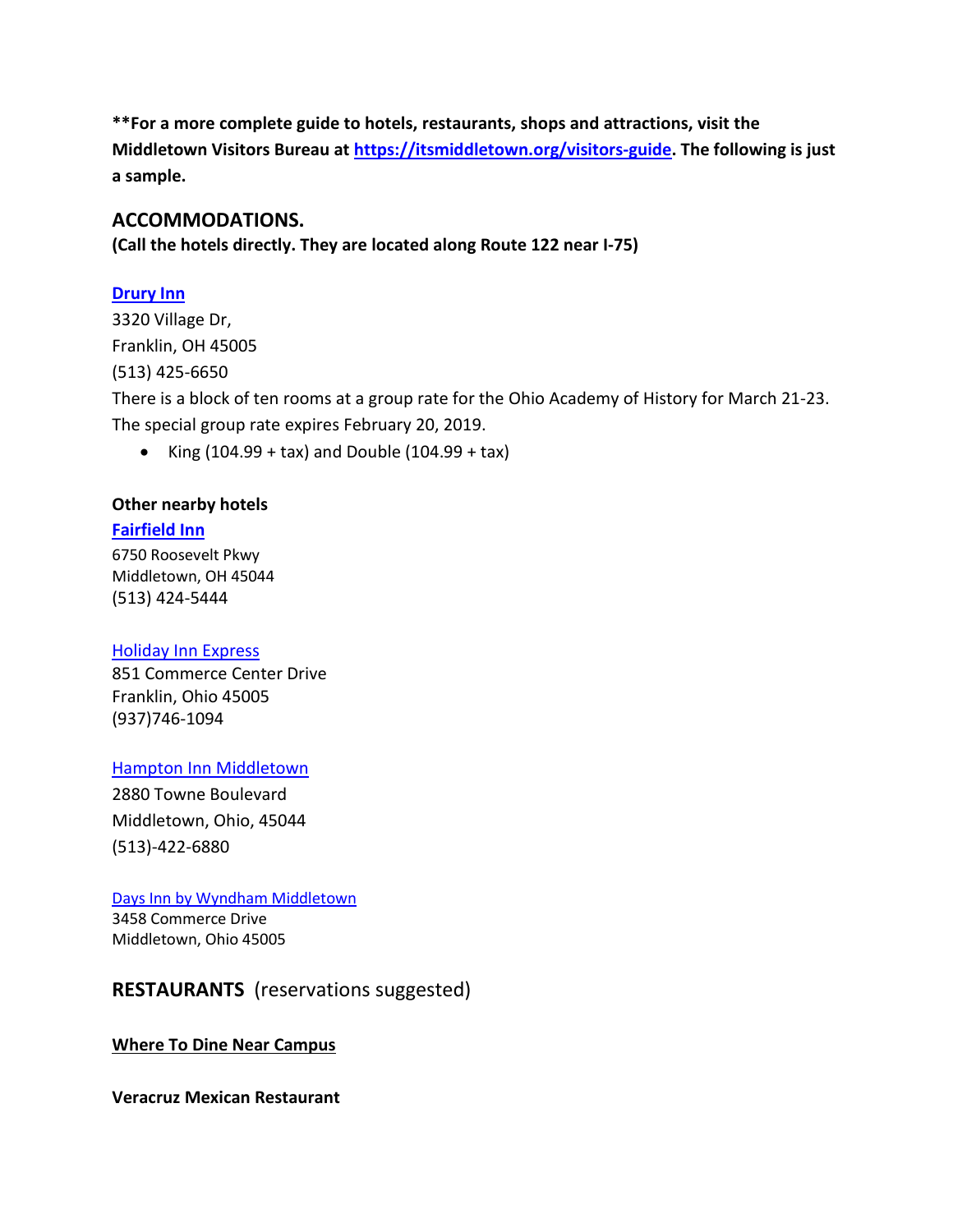**\*\*For a more complete guide to hotels, restaurants, shops and attractions, visit the Middletown Visitors Bureau at [https://itsmiddletown.org/visitors-guide.](https://itsmiddletown.org/visitors-guide) The following is just a sample.** 

## **ACCOMMODATIONS.**

**(Call the hotels directly. They are located along Route 122 near I-75)**

## **[Drury Inn](https://www.druryhotels.com/locations/middletown-oh/drury-inn-and-suites-middletown-franklin)**

3320 Village Dr, Franklin, OH 45005 (513) 425-6650 There is a block of ten rooms at a group rate for the Ohio Academy of History for March 21-23. The special group rate expires February 20, 2019.

• King  $(104.99 + tax)$  and Double  $(104.99 + tax)$ 

## **Other nearby hotels**

## **[Fairfield Inn](https://www.marriott.com/hotels/travel/mwdfi-fairfield-inn-middletown-monroe/)**

6750 Roosevelt Pkwy Middletown, OH 45044 (513) 424-5444

#### [Holiday Inn Express](https://www.ihg.com/holidayinnexpress/hotels/us/en/franklin/dayfo/hoteldetail)

851 Commerce Center Drive Franklin, Ohio 45005 (937)746-1094

## [Hampton Inn Middletown](https://hamptoninn3.hilton.com/en/hotels/ohio/hampton-inn-middletown-MWOMDHX/index.html)

2880 Towne Boulevard Middletown, Ohio, 45044 (513)-422-6880

#### [Days Inn by Wyndham Middletown](https://www.wyndhamhotels.com/days-inn/middletown-ohio/days-inn-middletown-oh/overview)

3458 Commerce Drive Middletown, Ohio 45005

# **RESTAURANTS** (reservations suggested)

## **Where To Dine Near Campus**

**Veracruz Mexican Restaurant**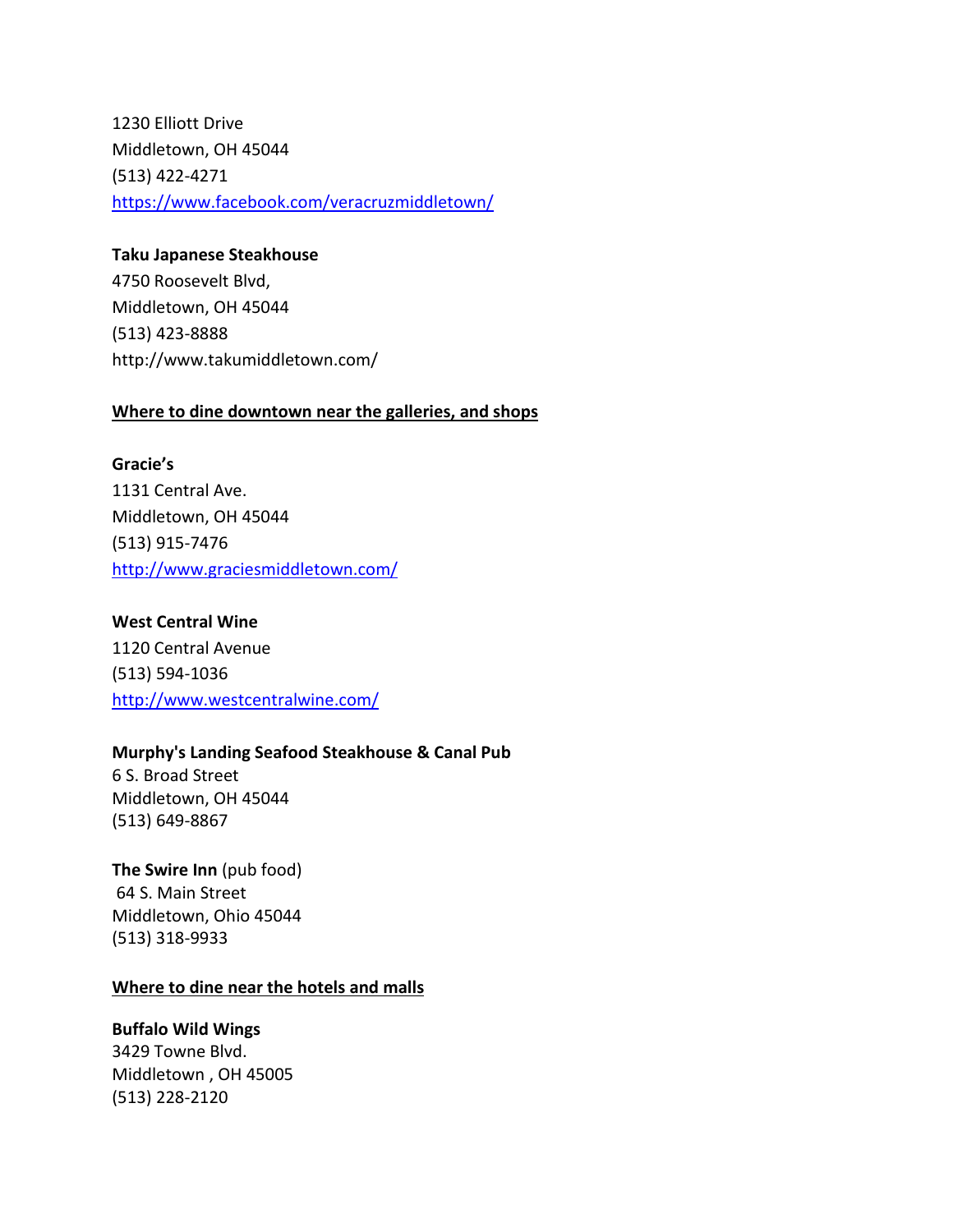1230 Elliott Drive Middletown, OH 45044 (513) 422-4271 <https://www.facebook.com/veracruzmiddletown/>

#### **Taku Japanese Steakhouse**

4750 Roosevelt Blvd, Middletown, OH 45044 (513) 423-8888 http://www.takumiddletown.com/

#### **Where to dine downtown near the galleries, and shops**

**Gracie's**  1131 Central Ave. Middletown, OH 45044 (513) 915-7476 <http://www.graciesmiddletown.com/>

#### **West Central Wine**

1120 Central Avenue (513) 594-1036 <http://www.westcentralwine.com/>

## **Murphy's Landing Seafood Steakhouse & Canal Pub**

6 S. Broad Street Middletown, OH 45044 (513) 649-8867

**The Swire Inn** (pub food) 64 S. Main Street Middletown, Ohio 45044 (513) 318-9933

## **Where to dine near the hotels and malls**

## **Buffalo Wild Wings**

3429 Towne Blvd. Middletown , OH 45005 (513) 228-2120